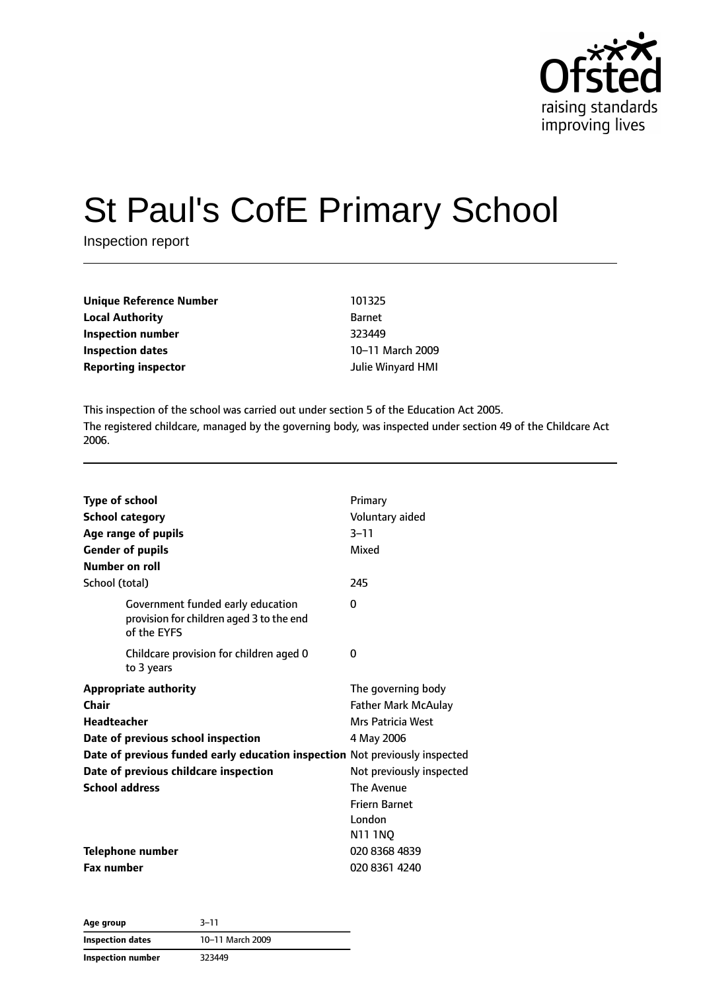

# St Paul's CofE Primary School

Inspection report

| Unique Reference Number    | 101325            |
|----------------------------|-------------------|
| <b>Local Authority</b>     | <b>Barnet</b>     |
| Inspection number          | 323449            |
| <b>Inspection dates</b>    | 10-11 March 2009  |
| <b>Reporting inspector</b> | Julie Winyard HMI |

This inspection of the school was carried out under section 5 of the Education Act 2005. The registered childcare, managed by the governing body, was inspected under section 49 of the Childcare Act 2006.

| <b>Type of school</b><br><b>School category</b><br>Age range of pupils<br><b>Gender of pupils</b>                                                                                                                                                  | Primary<br>Voluntary aided<br>$3 - 11$<br>Mixed                                                                                                                 |
|----------------------------------------------------------------------------------------------------------------------------------------------------------------------------------------------------------------------------------------------------|-----------------------------------------------------------------------------------------------------------------------------------------------------------------|
| Number on roll                                                                                                                                                                                                                                     |                                                                                                                                                                 |
| School (total)                                                                                                                                                                                                                                     | 245                                                                                                                                                             |
| Government funded early education<br>provision for children aged 3 to the end<br>of the EYFS                                                                                                                                                       | 0                                                                                                                                                               |
| Childcare provision for children aged 0<br>to 3 years                                                                                                                                                                                              | 0                                                                                                                                                               |
| <b>Appropriate authority</b><br>Chair<br><b>Headteacher</b><br>Date of previous school inspection<br>Date of previous funded early education inspection Not previously inspected<br>Date of previous childcare inspection<br><b>School address</b> | The governing body<br><b>Father Mark McAulay</b><br>Mrs Patricia West<br>4 May 2006<br>Not previously inspected<br>The Avenue<br><b>Friern Barnet</b><br>London |
| <b>Telephone number</b><br><b>Fax number</b>                                                                                                                                                                                                       | N11 1NQ<br>020 8368 4839<br>020 8361 4240                                                                                                                       |

| Age group         | $3 - 11$         |  |
|-------------------|------------------|--|
| Inspection dates  | 10-11 March 2009 |  |
| Inspection number | 323449           |  |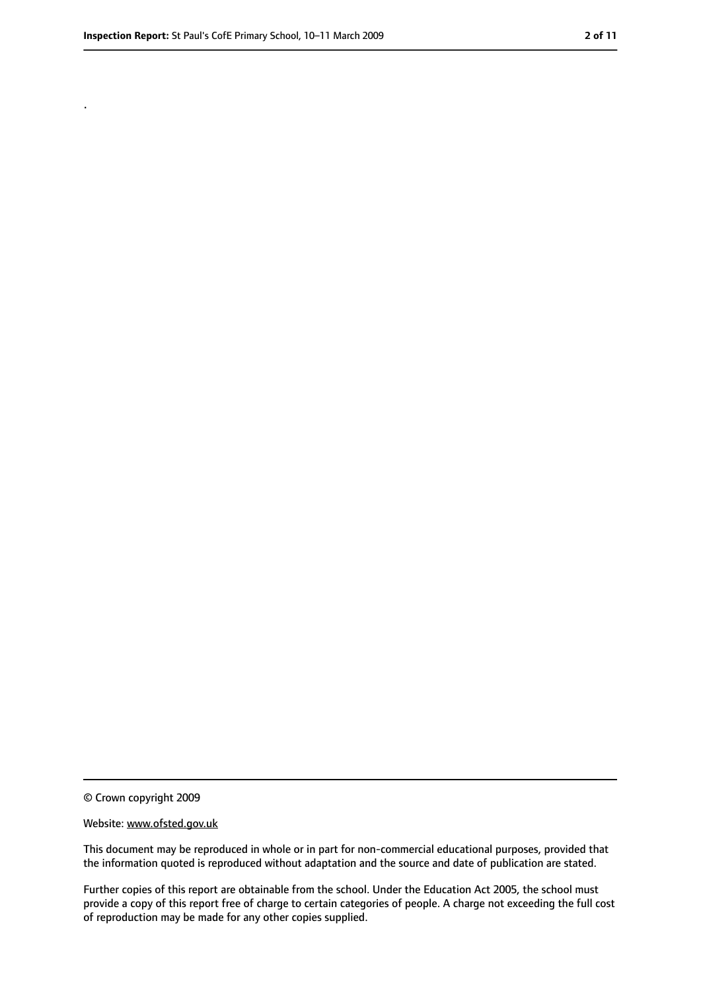.

<sup>©</sup> Crown copyright 2009

Website: www.ofsted.gov.uk

This document may be reproduced in whole or in part for non-commercial educational purposes, provided that the information quoted is reproduced without adaptation and the source and date of publication are stated.

Further copies of this report are obtainable from the school. Under the Education Act 2005, the school must provide a copy of this report free of charge to certain categories of people. A charge not exceeding the full cost of reproduction may be made for any other copies supplied.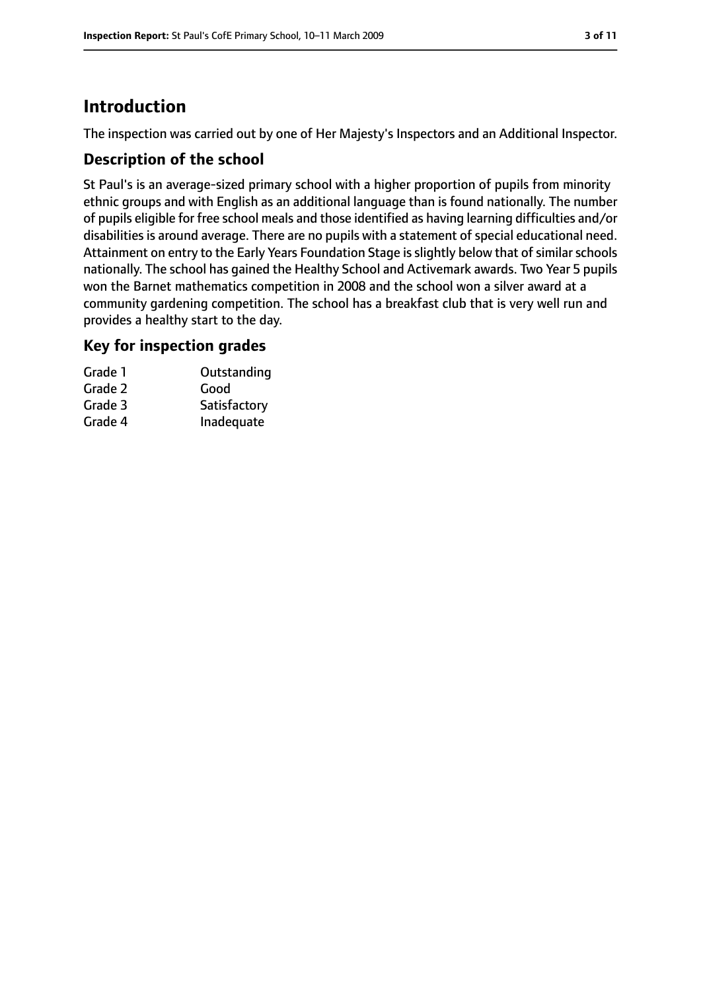### **Introduction**

The inspection was carried out by one of Her Majesty's Inspectors and an Additional Inspector.

#### **Description of the school**

St Paul's is an average-sized primary school with a higher proportion of pupils from minority ethnic groups and with English as an additional language than is found nationally. The number of pupils eligible for free school meals and those identified as having learning difficulties and/or disabilities is around average. There are no pupils with a statement of special educational need. Attainment on entry to the Early Years Foundation Stage is slightly below that of similar schools nationally. The school has gained the Healthy School and Activemark awards. Two Year 5 pupils won the Barnet mathematics competition in 2008 and the school won a silver award at a community gardening competition. The school has a breakfast club that is very well run and provides a healthy start to the day.

#### **Key for inspection grades**

| Outstanding  |
|--------------|
|              |
| Satisfactory |
| Inadequate   |
|              |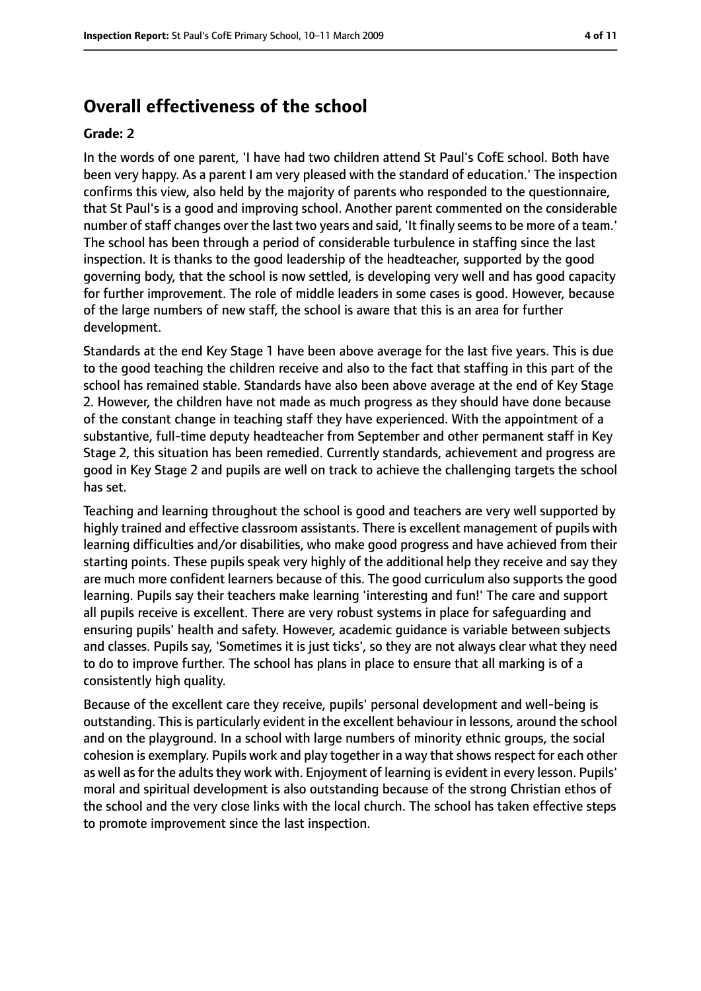### **Overall effectiveness of the school**

#### **Grade: 2**

In the words of one parent, 'I have had two children attend St Paul's CofE school. Both have been very happy. As a parent I am very pleased with the standard of education.' The inspection confirms this view, also held by the majority of parents who responded to the questionnaire, that St Paul's is a good and improving school. Another parent commented on the considerable number of staff changes over the last two years and said, 'It finally seems to be more of a team.' The school has been through a period of considerable turbulence in staffing since the last inspection. It is thanks to the good leadership of the headteacher, supported by the good governing body, that the school is now settled, is developing very well and has good capacity for further improvement. The role of middle leaders in some cases is good. However, because of the large numbers of new staff, the school is aware that this is an area for further development.

Standards at the end Key Stage 1 have been above average for the last five years. This is due to the good teaching the children receive and also to the fact that staffing in this part of the school has remained stable. Standards have also been above average at the end of Key Stage 2. However, the children have not made as much progress as they should have done because of the constant change in teaching staff they have experienced. With the appointment of a substantive, full-time deputy headteacher from September and other permanent staff in Key Stage 2, this situation has been remedied. Currently standards, achievement and progress are good in Key Stage 2 and pupils are well on track to achieve the challenging targets the school has set.

Teaching and learning throughout the school is good and teachers are very well supported by highly trained and effective classroom assistants. There is excellent management of pupils with learning difficulties and/or disabilities, who make good progress and have achieved from their starting points. These pupils speak very highly of the additional help they receive and say they are much more confident learners because of this. The good curriculum also supports the good learning. Pupils say their teachers make learning 'interesting and fun!' The care and support all pupils receive is excellent. There are very robust systems in place for safeguarding and ensuring pupils' health and safety. However, academic guidance is variable between subjects and classes. Pupils say, 'Sometimes it is just ticks', so they are not always clear what they need to do to improve further. The school has plans in place to ensure that all marking is of a consistently high quality.

Because of the excellent care they receive, pupils' personal development and well-being is outstanding. This is particularly evident in the excellent behaviour in lessons, around the school and on the playground. In a school with large numbers of minority ethnic groups, the social cohesion is exemplary. Pupils work and play together in a way thatshowsrespect for each other as well as for the adults they work with. Enjoyment of learning is evident in every lesson. Pupils' moral and spiritual development is also outstanding because of the strong Christian ethos of the school and the very close links with the local church. The school has taken effective steps to promote improvement since the last inspection.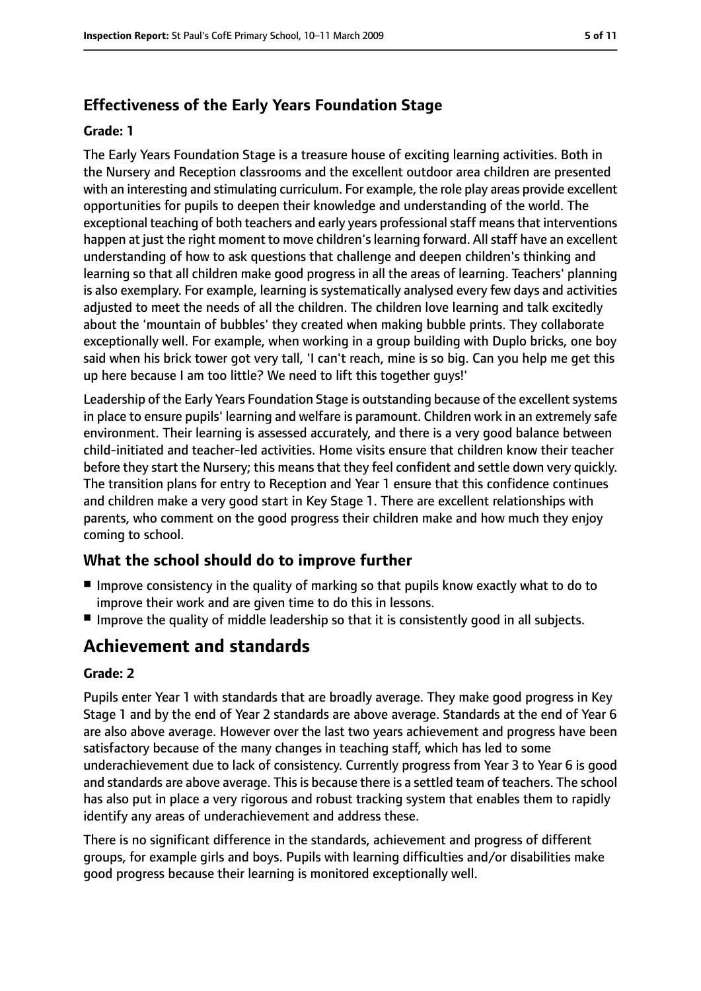### **Effectiveness of the Early Years Foundation Stage**

#### **Grade: 1**

The Early Years Foundation Stage is a treasure house of exciting learning activities. Both in the Nursery and Reception classrooms and the excellent outdoor area children are presented with an interesting and stimulating curriculum. For example, the role play areas provide excellent opportunities for pupils to deepen their knowledge and understanding of the world. The exceptional teaching of both teachers and early years professional staff means that interventions happen at just the right moment to move children's learning forward. All staff have an excellent understanding of how to ask questions that challenge and deepen children's thinking and learning so that all children make good progress in all the areas of learning. Teachers' planning is also exemplary. For example, learning is systematically analysed every few days and activities adjusted to meet the needs of all the children. The children love learning and talk excitedly about the 'mountain of bubbles' they created when making bubble prints. They collaborate exceptionally well. For example, when working in a group building with Duplo bricks, one boy said when his brick tower got very tall, 'I can't reach, mine is so big. Can you help me get this up here because I am too little? We need to lift this together guys!'

Leadership of the Early Years Foundation Stage is outstanding because of the excellent systems in place to ensure pupils' learning and welfare is paramount. Children work in an extremely safe environment. Their learning is assessed accurately, and there is a very good balance between child-initiated and teacher-led activities. Home visits ensure that children know their teacher before they start the Nursery; this means that they feel confident and settle down very quickly. The transition plans for entry to Reception and Year 1 ensure that this confidence continues and children make a very good start in Key Stage 1. There are excellent relationships with parents, who comment on the good progress their children make and how much they enjoy coming to school.

### **What the school should do to improve further**

- Improve consistency in the quality of marking so that pupils know exactly what to do to improve their work and are given time to do this in lessons.
- Improve the quality of middle leadership so that it is consistently good in all subjects.

### **Achievement and standards**

#### **Grade: 2**

Pupils enter Year 1 with standards that are broadly average. They make good progress in Key Stage 1 and by the end of Year 2 standards are above average. Standards at the end of Year 6 are also above average. However over the last two years achievement and progress have been satisfactory because of the many changes in teaching staff, which has led to some underachievement due to lack of consistency. Currently progress from Year 3 to Year 6 is good and standards are above average. This is because there is a settled team of teachers. The school has also put in place a very rigorous and robust tracking system that enables them to rapidly identify any areas of underachievement and address these.

There is no significant difference in the standards, achievement and progress of different groups, for example girls and boys. Pupils with learning difficulties and/or disabilities make good progress because their learning is monitored exceptionally well.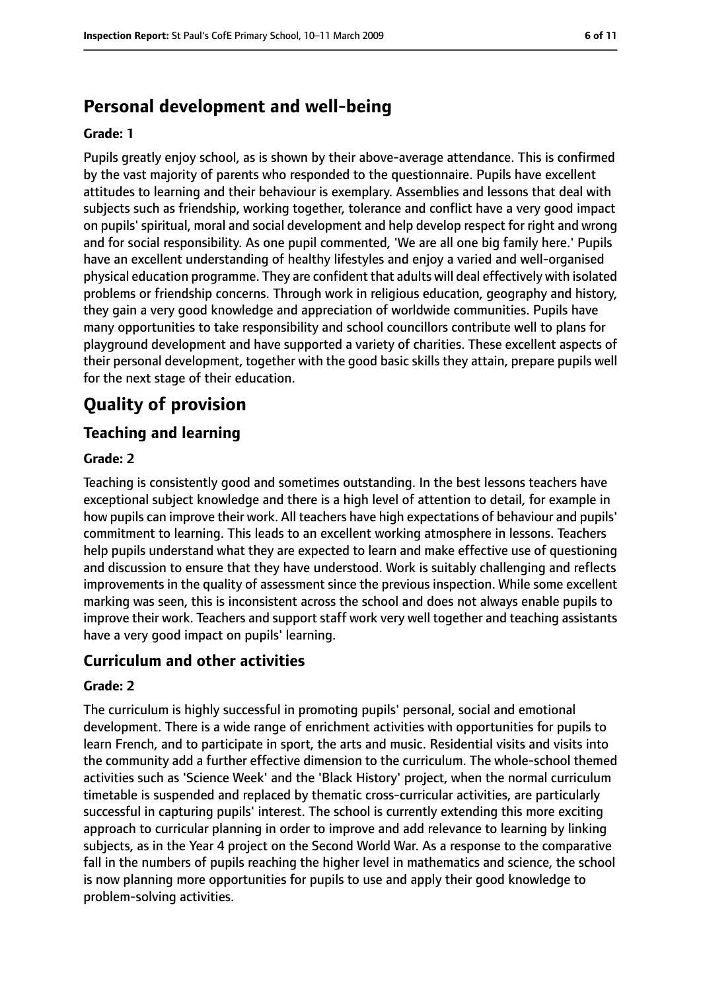### **Personal development and well-being**

#### **Grade: 1**

Pupils greatly enjoy school, as is shown by their above-average attendance. This is confirmed by the vast majority of parents who responded to the questionnaire. Pupils have excellent attitudes to learning and their behaviour is exemplary. Assemblies and lessons that deal with subjects such as friendship, working together, tolerance and conflict have a very good impact on pupils' spiritual, moral and social development and help develop respect for right and wrong and for social responsibility. As one pupil commented, 'We are all one big family here.' Pupils have an excellent understanding of healthy lifestyles and enjoy a varied and well-organised physical education programme. They are confident that adults will deal effectively with isolated problems or friendship concerns. Through work in religious education, geography and history, they gain a very good knowledge and appreciation of worldwide communities. Pupils have many opportunities to take responsibility and school councillors contribute well to plans for playground development and have supported a variety of charities. These excellent aspects of their personal development, together with the good basic skills they attain, prepare pupils well for the next stage of their education.

### **Quality of provision**

#### **Teaching and learning**

#### **Grade: 2**

Teaching is consistently good and sometimes outstanding. In the best lessons teachers have exceptional subject knowledge and there is a high level of attention to detail, for example in how pupils can improve their work. All teachers have high expectations of behaviour and pupils' commitment to learning. This leads to an excellent working atmosphere in lessons. Teachers help pupils understand what they are expected to learn and make effective use of questioning and discussion to ensure that they have understood. Work is suitably challenging and reflects improvements in the quality of assessment since the previous inspection. While some excellent marking was seen, this is inconsistent across the school and does not always enable pupils to improve their work. Teachers and support staff work very well together and teaching assistants have a very good impact on pupils' learning.

#### **Curriculum and other activities**

#### **Grade: 2**

The curriculum is highly successful in promoting pupils' personal, social and emotional development. There is a wide range of enrichment activities with opportunities for pupils to learn French, and to participate in sport, the arts and music. Residential visits and visits into the community add a further effective dimension to the curriculum. The whole-school themed activities such as 'Science Week' and the 'Black History' project, when the normal curriculum timetable is suspended and replaced by thematic cross-curricular activities, are particularly successful in capturing pupils' interest. The school is currently extending this more exciting approach to curricular planning in order to improve and add relevance to learning by linking subjects, as in the Year 4 project on the Second World War. As a response to the comparative fall in the numbers of pupils reaching the higher level in mathematics and science, the school is now planning more opportunities for pupils to use and apply their good knowledge to problem-solving activities.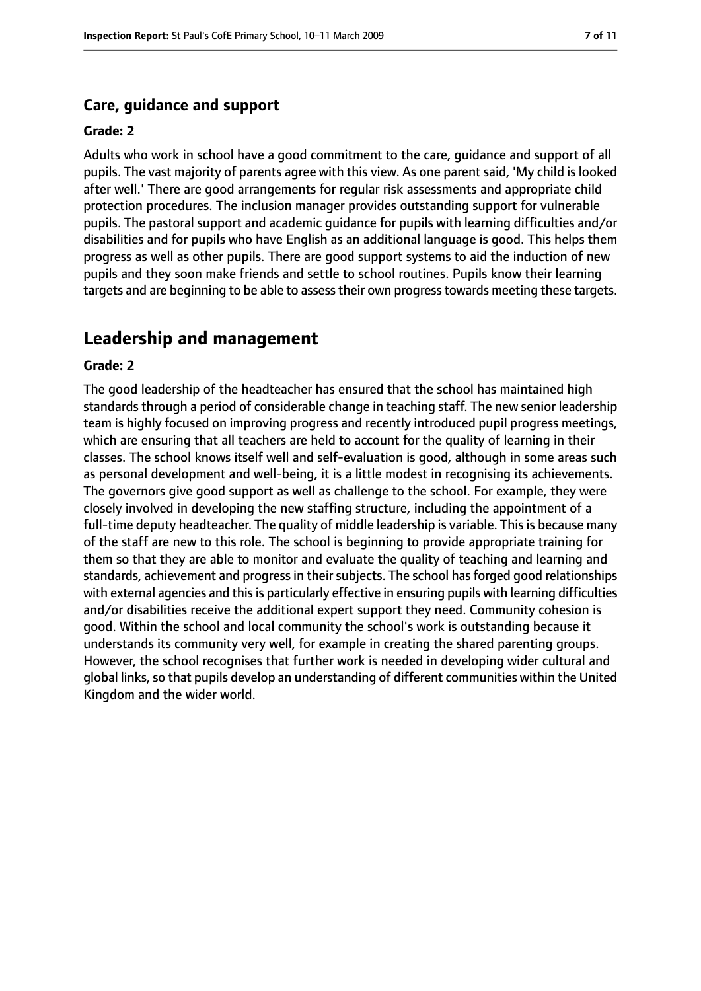#### **Care, guidance and support**

#### **Grade: 2**

Adults who work in school have a good commitment to the care, guidance and support of all pupils. The vast majority of parents agree with this view. As one parent said, 'My child is looked after well.' There are good arrangements for regular risk assessments and appropriate child protection procedures. The inclusion manager provides outstanding support for vulnerable pupils. The pastoral support and academic guidance for pupils with learning difficulties and/or disabilities and for pupils who have English as an additional language is good. This helps them progress as well as other pupils. There are good support systems to aid the induction of new pupils and they soon make friends and settle to school routines. Pupils know their learning targets and are beginning to be able to assesstheir own progresstowards meeting these targets.

#### **Leadership and management**

#### **Grade: 2**

The good leadership of the headteacher has ensured that the school has maintained high standards through a period of considerable change in teaching staff. The new senior leadership team is highly focused on improving progress and recently introduced pupil progress meetings, which are ensuring that all teachers are held to account for the quality of learning in their classes. The school knows itself well and self-evaluation is good, although in some areas such as personal development and well-being, it is a little modest in recognising its achievements. The governors give good support as well as challenge to the school. For example, they were closely involved in developing the new staffing structure, including the appointment of a full-time deputy headteacher. The quality of middle leadership is variable. This is because many of the staff are new to this role. The school is beginning to provide appropriate training for them so that they are able to monitor and evaluate the quality of teaching and learning and standards, achievement and progress in their subjects. The school has forged good relationships with external agencies and this is particularly effective in ensuring pupils with learning difficulties and/or disabilities receive the additional expert support they need. Community cohesion is good. Within the school and local community the school's work is outstanding because it understands its community very well, for example in creating the shared parenting groups. However, the school recognises that further work is needed in developing wider cultural and global links, so that pupils develop an understanding of different communities within the United Kingdom and the wider world.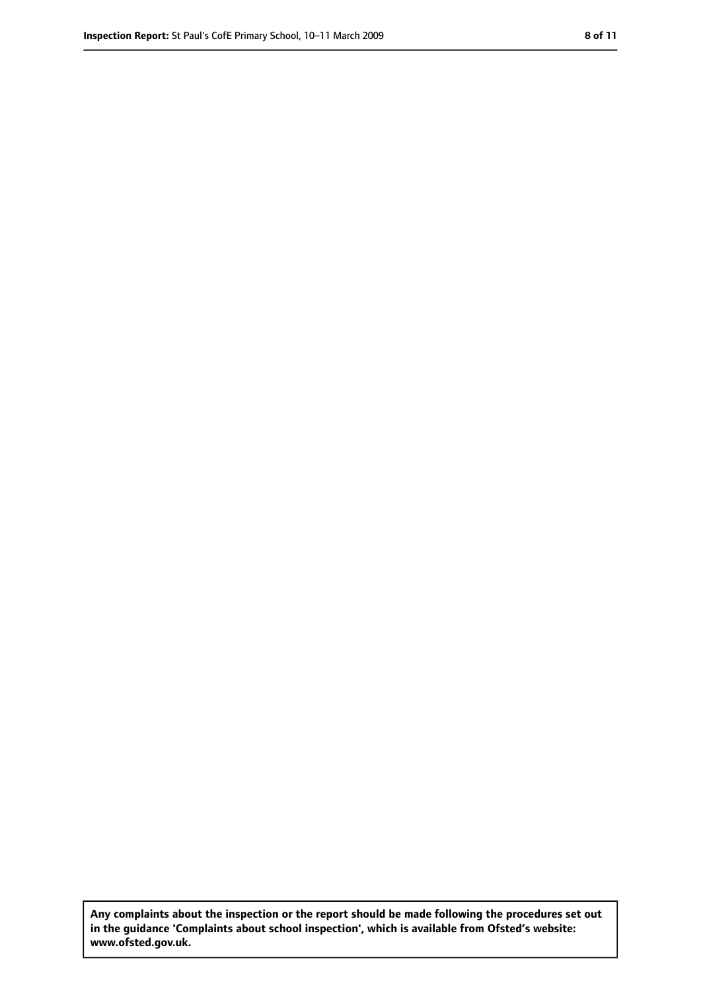**Any complaints about the inspection or the report should be made following the procedures set out in the guidance 'Complaints about school inspection', which is available from Ofsted's website: www.ofsted.gov.uk.**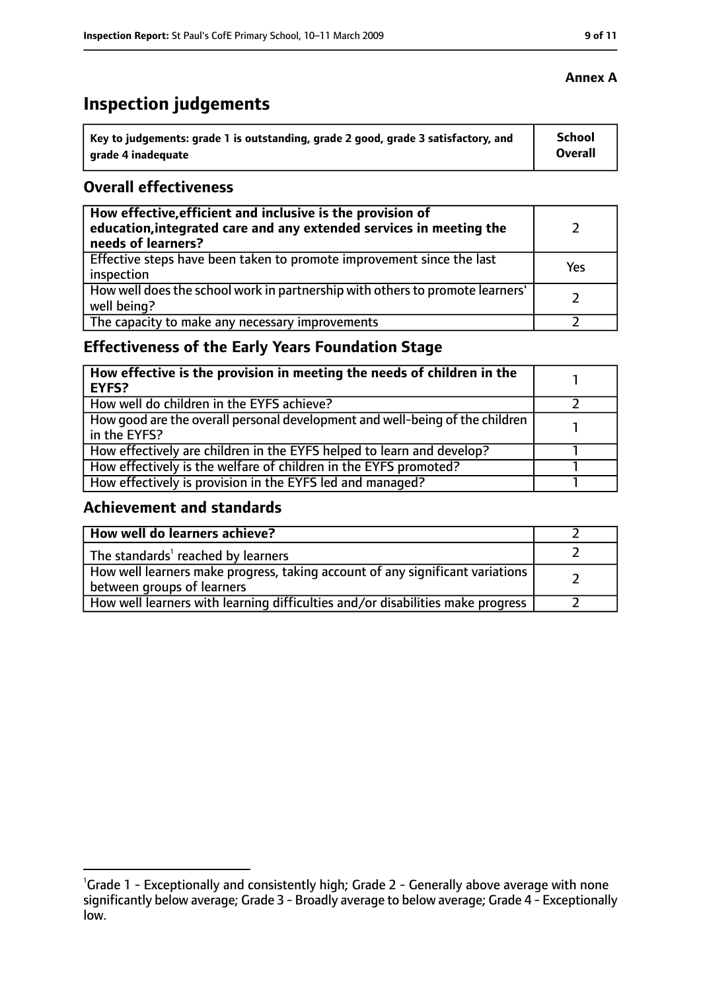## **Inspection judgements**

| Key to judgements: grade 1 is outstanding, grade 2 good, grade 3 satisfactory, and | <b>School</b> |
|------------------------------------------------------------------------------------|---------------|
| arade 4 inadequate                                                                 | Overall       |

#### **Overall effectiveness**

| How effective, efficient and inclusive is the provision of<br>education, integrated care and any extended services in meeting the<br>needs of learners? |     |
|---------------------------------------------------------------------------------------------------------------------------------------------------------|-----|
| Effective steps have been taken to promote improvement since the last<br>inspection                                                                     | Yes |
| How well does the school work in partnership with others to promote learners'<br>well being?                                                            |     |
| The capacity to make any necessary improvements                                                                                                         |     |

### **Effectiveness of the Early Years Foundation Stage**

| How effective is the provision in meeting the needs of children in the<br><b>EYFS?</b>       |  |
|----------------------------------------------------------------------------------------------|--|
| How well do children in the EYFS achieve?                                                    |  |
| How good are the overall personal development and well-being of the children<br>in the EYFS? |  |
| How effectively are children in the EYFS helped to learn and develop?                        |  |
| How effectively is the welfare of children in the EYFS promoted?                             |  |
| How effectively is provision in the EYFS led and managed?                                    |  |

### **Achievement and standards**

| How well do learners achieve?                                                                               |  |
|-------------------------------------------------------------------------------------------------------------|--|
| The standards <sup>1</sup> reached by learners                                                              |  |
| How well learners make progress, taking account of any significant variations<br>between groups of learners |  |
| How well learners with learning difficulties and/or disabilities make progress                              |  |

<sup>&</sup>lt;sup>1</sup>Grade 1 - Exceptionally and consistently high; Grade 2 - Generally above average with none significantly below average; Grade 3 - Broadly average to below average; Grade 4 - Exceptionally low.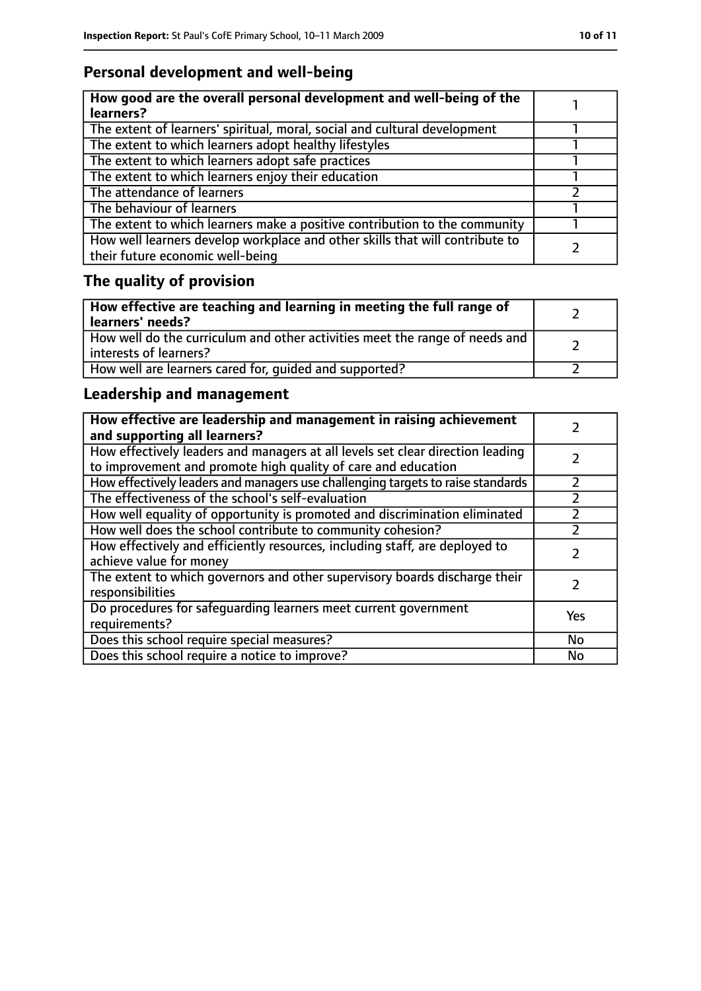### **Personal development and well-being**

| How good are the overall personal development and well-being of the<br>learners?                                 |  |
|------------------------------------------------------------------------------------------------------------------|--|
| The extent of learners' spiritual, moral, social and cultural development                                        |  |
| The extent to which learners adopt healthy lifestyles                                                            |  |
| The extent to which learners adopt safe practices                                                                |  |
| The extent to which learners enjoy their education                                                               |  |
| The attendance of learners                                                                                       |  |
| The behaviour of learners                                                                                        |  |
| The extent to which learners make a positive contribution to the community                                       |  |
| How well learners develop workplace and other skills that will contribute to<br>their future economic well-being |  |

### **The quality of provision**

| How effective are teaching and learning in meeting the full range of<br>learners' needs?              |  |
|-------------------------------------------------------------------------------------------------------|--|
| How well do the curriculum and other activities meet the range of needs and<br>interests of learners? |  |
| How well are learners cared for, quided and supported?                                                |  |

### **Leadership and management**

| How effective are leadership and management in raising achievement<br>and supporting all learners?                                              |     |
|-------------------------------------------------------------------------------------------------------------------------------------------------|-----|
| How effectively leaders and managers at all levels set clear direction leading<br>to improvement and promote high quality of care and education |     |
| How effectively leaders and managers use challenging targets to raise standards                                                                 |     |
| The effectiveness of the school's self-evaluation                                                                                               |     |
| How well equality of opportunity is promoted and discrimination eliminated                                                                      |     |
| How well does the school contribute to community cohesion?                                                                                      | フ   |
| How effectively and efficiently resources, including staff, are deployed to<br>achieve value for money                                          |     |
| The extent to which governors and other supervisory boards discharge their<br>responsibilities                                                  |     |
| Do procedures for safequarding learners meet current government<br>requirements?                                                                | Yes |
| Does this school require special measures?                                                                                                      | No  |
| Does this school require a notice to improve?                                                                                                   | No  |